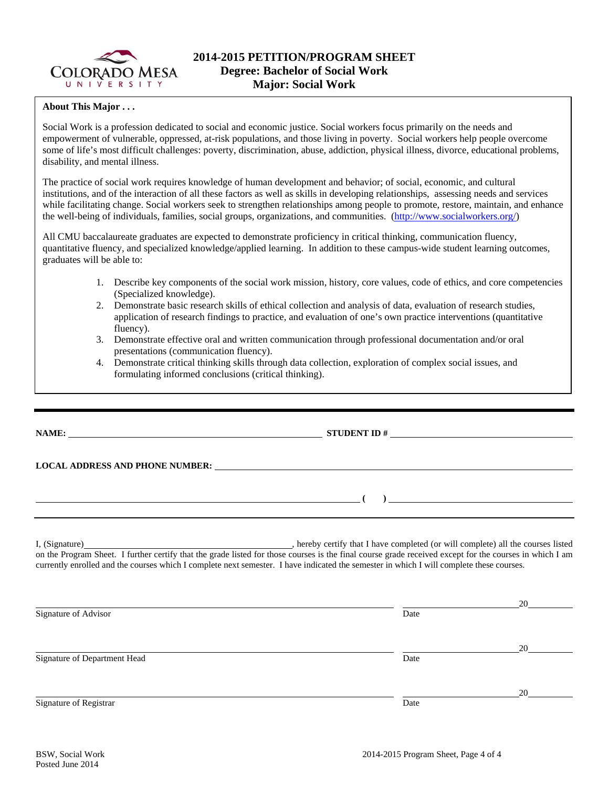

## **About This Major . . .**

Social Work is a profession dedicated to social and economic justice. Social workers focus primarily on the needs and empowerment of vulnerable, oppressed, at-risk populations, and those living in poverty. Social workers help people overcome some of life's most difficult challenges: poverty, discrimination, abuse, addiction, physical illness, divorce, educational problems, disability, and mental illness.

The practice of social work requires knowledge of human development and behavior; of social, economic, and cultural institutions, and of the interaction of all these factors as well as skills in developing relationships, assessing needs and services while facilitating change. Social workers seek to strengthen relationships among people to promote, restore, maintain, and enhance the well-being of individuals, families, social groups, organizations, and communities. (http://www.socialworkers.org/)

All CMU baccalaureate graduates are expected to demonstrate proficiency in critical thinking, communication fluency, quantitative fluency, and specialized knowledge/applied learning. In addition to these campus-wide student learning outcomes, graduates will be able to:

- 1. Describe key components of the social work mission, history, core values, code of ethics, and core competencies (Specialized knowledge).
- 2. Demonstrate basic research skills of ethical collection and analysis of data, evaluation of research studies, application of research findings to practice, and evaluation of one's own practice interventions (quantitative fluency).
- 3. Demonstrate effective oral and written communication through professional documentation and/or oral presentations (communication fluency).
- 4. Demonstrate critical thinking skills through data collection, exploration of complex social issues, and formulating informed conclusions (critical thinking).

**NAME: STUDENT ID # LOCAL ADDRESS AND PHONE NUMBER: ( )**  I, (Signature) , hereby certify that I have completed (or will complete) all the courses listed on the Program Sheet. I further certify that the grade listed for those courses is the final course grade received except for the courses in which I am currently enrolled and the courses which I complete next semester. I have indicated the semester in which I will complete these courses.

|                              |      | 20 |
|------------------------------|------|----|
| Signature of Advisor         | Date |    |
|                              |      | 20 |
| Signature of Department Head | Date |    |
|                              |      | 20 |
| Signature of Registrar       | Date |    |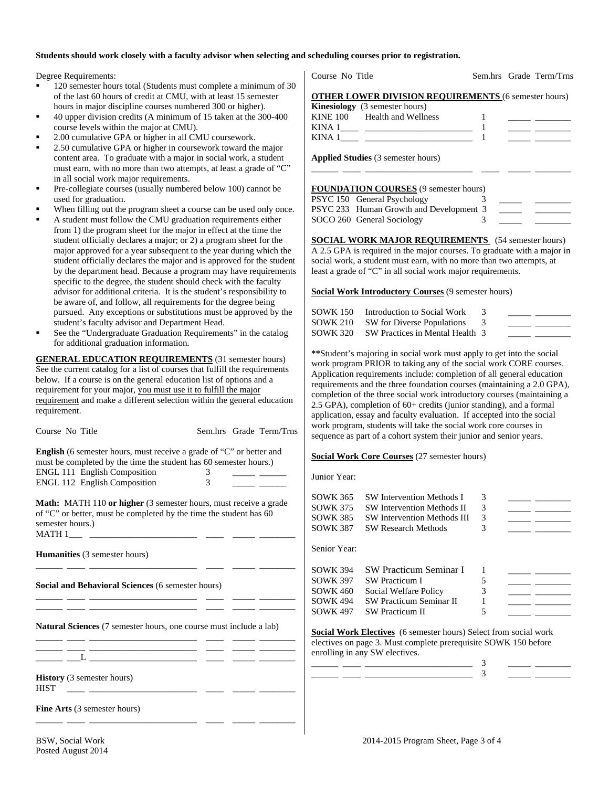### **Students should work closely with a faculty advisor when selecting and scheduling courses prior to registration.**

Degree Requirements:

- 120 semester hours total (Students must complete a minimum of 30 of the last 60 hours of credit at CMU, with at least 15 semester hours in major discipline courses numbered 300 or higher).
- 40 upper division credits (A minimum of 15 taken at the 300-400 course levels within the major at CMU).
- 2.00 cumulative GPA or higher in all CMU coursework.
- 2.50 cumulative GPA or higher in coursework toward the major content area. To graduate with a major in social work, a student must earn, with no more than two attempts, at least a grade of "C" in all social work major requirements.
- Pre-collegiate courses (usually numbered below 100) cannot be used for graduation.
- When filling out the program sheet a course can be used only once.
- A student must follow the CMU graduation requirements either from 1) the program sheet for the major in effect at the time the student officially declares a major; or 2) a program sheet for the major approved for a year subsequent to the year during which the student officially declares the major and is approved for the student by the department head. Because a program may have requirements specific to the degree, the student should check with the faculty advisor for additional criteria. It is the student's responsibility to be aware of, and follow, all requirements for the degree being pursued. Any exceptions or substitutions must be approved by the student's faculty advisor and Department Head.
- See the "Undergraduate Graduation Requirements" in the catalog for additional graduation information.

**GENERAL EDUCATION REQUIREMENTS** (31 semester hours) See the current catalog for a list of courses that fulfill the requirements below. If a course is on the general education list of options and a requirement for your major, you must use it to fulfill the major requirement and make a different selection within the general education requirement.

| Course No Title                                                                                                       | Sem.hrs Grade Term/Trns                                                                                                                                                                                                              |                 | work program, students will take the social work core courses in<br>sequence as part of a cohort system their junior and senior years.                                       |   |                                                       |                                                                                                                       |
|-----------------------------------------------------------------------------------------------------------------------|--------------------------------------------------------------------------------------------------------------------------------------------------------------------------------------------------------------------------------------|-----------------|------------------------------------------------------------------------------------------------------------------------------------------------------------------------------|---|-------------------------------------------------------|-----------------------------------------------------------------------------------------------------------------------|
|                                                                                                                       | <b>English</b> (6 semester hours, must receive a grade of "C" or better and<br>must be completed by the time the student has 60 semester hours.)                                                                                     |                 | Social Work Core Courses (27 semester hours)                                                                                                                                 |   |                                                       |                                                                                                                       |
| <b>ENGL 111 English Composition</b><br><b>ENGL 112 English Composition</b>                                            | 3<br>$\overline{3}$                                                                                                                                                                                                                  | Junior Year:    |                                                                                                                                                                              |   |                                                       |                                                                                                                       |
|                                                                                                                       | <b>Math:</b> MATH 110 or higher (3 semester hours, must receive a grade                                                                                                                                                              | <b>SOWK 365</b> | <b>SW Intervention Methods I</b>                                                                                                                                             | 3 | $\overline{\phantom{a}}$ and $\overline{\phantom{a}}$ |                                                                                                                       |
|                                                                                                                       |                                                                                                                                                                                                                                      | <b>SOWK 375</b> | <b>SW Intervention Methods II</b>                                                                                                                                            | 3 |                                                       | <u> Alexandria de Alexandria de Alexandria de Alexandria de Alexandria de Alexandria de Alexandria de Alexandria </u> |
|                                                                                                                       | of "C" or better, must be completed by the time the student has 60                                                                                                                                                                   | <b>SOWK 385</b> | <b>SW Intervention Methods III</b>                                                                                                                                           |   |                                                       | <u> 1989 - John Barn Barn, amerikansk politiker (</u>                                                                 |
| semester hours.)                                                                                                      |                                                                                                                                                                                                                                      | <b>SOWK 387</b> | <b>SW Research Methods</b>                                                                                                                                                   | 3 |                                                       |                                                                                                                       |
| <b>Humanities</b> (3 semester hours)                                                                                  |                                                                                                                                                                                                                                      | Senior Year:    |                                                                                                                                                                              |   |                                                       |                                                                                                                       |
|                                                                                                                       | <u> 1980 - Jan Samuel Barbara, personal personal personal personal personal personal personal personal personal p</u>                                                                                                                | <b>SOWK 394</b> | <b>SW Practicum Seminar I</b>                                                                                                                                                |   | <u>and the state of the state</u>                     |                                                                                                                       |
|                                                                                                                       |                                                                                                                                                                                                                                      | <b>SOWK 397</b> | <b>SW Practicum I</b>                                                                                                                                                        | 5 |                                                       |                                                                                                                       |
| <b>Social and Behavioral Sciences (6 semester hours)</b>                                                              |                                                                                                                                                                                                                                      | <b>SOWK 460</b> | Social Welfare Policy                                                                                                                                                        | 3 |                                                       | <u> 1999 - Johann Barnett, fransk politiker (</u>                                                                     |
|                                                                                                                       |                                                                                                                                                                                                                                      | <b>SOWK 494</b> | SW Practicum Seminar II                                                                                                                                                      |   |                                                       | <u> 1990 - Jan Barnett, francuski politik (</u>                                                                       |
|                                                                                                                       | <u>and the contract of the contract of the contract of the contract of the contract of the contract of the contract of the contract of the contract of the contract of the contract of the contract of the contract of the contr</u> | <b>SOWK 497</b> | <b>SW Practicum II</b>                                                                                                                                                       | 5 |                                                       |                                                                                                                       |
| <u> 2008 - Andrea Statistica de Carlos de Carlos de Carlos de Carlos de Carlos de Carlos de Carlos de Carlos de C</u> | <b>Natural Sciences</b> (7 semester hours, one course must include a lab)                                                                                                                                                            |                 | <b>Social Work Electives</b> (6 semester hours) Select from social work<br>electives on page 3. Must complete prerequisite SOWK 150 before<br>enrolling in any SW electives. |   |                                                       |                                                                                                                       |
|                                                                                                                       |                                                                                                                                                                                                                                      |                 |                                                                                                                                                                              |   |                                                       |                                                                                                                       |
| <b>History</b> (3 semester hours)<br><b>HIST</b>                                                                      |                                                                                                                                                                                                                                      |                 |                                                                                                                                                                              |   |                                                       |                                                                                                                       |
| Fine Arts (3 semester hours)                                                                                          |                                                                                                                                                                                                                                      |                 |                                                                                                                                                                              |   |                                                       |                                                                                                                       |
|                                                                                                                       |                                                                                                                                                                                                                                      |                 |                                                                                                                                                                              |   |                                                       |                                                                                                                       |

| KINA 1<br>KINA 1                             |  |  |
|----------------------------------------------|--|--|
| <b>Applied Studies</b> (3 semester hours)    |  |  |
| <b>FOUNDATION COURSES</b> (9 semester hours) |  |  |
| PSYC 150 General Psychology                  |  |  |
| PSYC 233 Human Growth and Development 3      |  |  |

Course No Title Sem.hrs Grade Term/Trns

**OTHER LOWER DIVISION REQUIREMENTS** (6 semester hours)

**Kinesiology** (3 semester hours)

KINE 100 Health and Wellness 1

SOCO 260 General Sociology 3

**SOCIAL WORK MAJOR REQUIREMENTS** (54 semester hours) A 2.5 GPA is required in the major courses. To graduate with a major in social work, a student must earn, with no more than two attempts, at least a grade of "C" in all social work major requirements.

**Social Work Introductory Courses** (9 semester hours)

| SOWK 150 Introduction to Social Work     |  |
|------------------------------------------|--|
| SOWK 210 SW for Diverse Populations      |  |
| SOWK 320 SW Practices in Mental Health 3 |  |

**\*\***Student's majoring in social work must apply to get into the social work program PRIOR to taking any of the social work CORE courses. Application requirements include: completion of all general education requirements and the three foundation courses (maintaining a 2.0 GPA), completion of the three social work introductory courses (maintaining a 2.5 GPA), completion of 60+ credits (junior standing), and a formal application, essay and faculty evaluation. If accepted into the social work program, students will take the social work core courses in t system their junior and senior years.

## **s** (27 semester hours)

| SOWK 365        | <b>SW Intervention Methods I</b>   | 3 |  |
|-----------------|------------------------------------|---|--|
| SOWK 375        | <b>SW Intervention Methods II</b>  | 3 |  |
| SOWK 385        | <b>SW Intervention Methods III</b> | 3 |  |
| SOWK 387        | <b>SW Research Methods</b>         | 3 |  |
| Senior Year:    |                                    |   |  |
| SOWK 394        | <b>SW Practicum Seminar I</b>      |   |  |
| SOWK 397        | SW Practicum I                     | 5 |  |
| SOWK 460        | Social Welfare Policy              |   |  |
| SOWK 494        | <b>SW Practicum Seminar II</b>     |   |  |
| <b>SOWK 497</b> | <b>SW</b> Practicum II             |   |  |
|                 |                                    |   |  |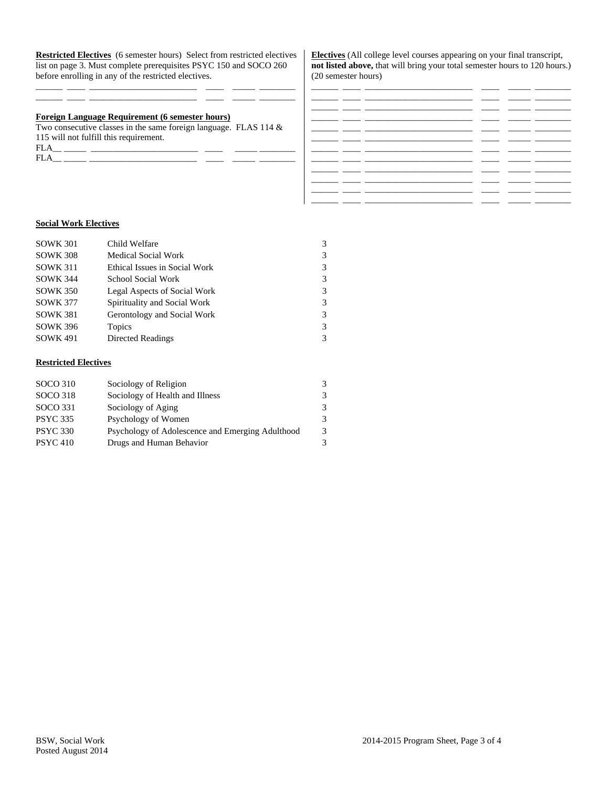**Restricted Electives** (6 semester hours) Select from restricted electives list on page 3. Must complete prerequisites PSYC 150 and SOCO 260 before enrolling in any of the restricted electives.

\_\_\_\_\_\_ \_\_\_\_ \_\_\_\_\_\_\_\_\_\_\_\_\_\_\_\_\_\_\_\_\_\_\_\_ \_\_\_\_ \_\_\_\_\_ \_\_\_\_\_\_\_\_ \_\_\_\_\_\_ \_\_\_\_ \_\_\_\_\_\_\_\_\_\_\_\_\_\_\_\_\_\_\_\_\_\_\_\_ \_\_\_\_ \_\_\_\_\_ \_\_\_\_\_\_\_\_

## **Foreign Language Requirement (6 semester hours)**

Two consecutive classes in the same foreign language. FLAS 114 & 115 will not fulfill this requirement. FLA\_\_ \_\_\_\_\_ \_\_\_\_\_\_\_\_\_\_\_\_\_\_\_\_\_\_\_\_\_\_\_\_ \_\_\_\_ \_\_\_\_\_ \_\_\_\_\_\_\_\_

FLA\_\_ \_\_\_\_\_ \_\_\_\_\_\_\_\_\_\_\_\_\_\_\_\_\_\_\_\_\_\_\_\_ \_\_\_\_ \_\_\_\_\_ \_\_\_\_\_\_\_\_

**Electives** (All college level courses appearing on your final transcript, **not listed above,** that will bring your total semester hours to 120 hours.) (20 semester hours)

|  |      | - - |  |
|--|------|-----|--|
|  | ___  |     |  |
|  |      |     |  |
|  |      | _ _ |  |
|  | __ _ |     |  |
|  |      | __  |  |
|  |      |     |  |
|  |      |     |  |
|  |      |     |  |
|  |      |     |  |

## **Social Work Electives**

| Child Welfare                 | 3 |
|-------------------------------|---|
| <b>Medical Social Work</b>    | 3 |
| Ethical Issues in Social Work | 3 |
| School Social Work            | 3 |
| Legal Aspects of Social Work  | 3 |
| Spirituality and Social Work  | 3 |
| Gerontology and Social Work   | 3 |
| Topics                        | 3 |
| <b>Directed Readings</b>      | 3 |
|                               |   |

#### **Restricted Electives**

| <b>SOCO 310</b> | Sociology of Religion                            | 3 |
|-----------------|--------------------------------------------------|---|
| SOCO 318        | Sociology of Health and Illness                  | 3 |
| SOCO 331        | Sociology of Aging                               | 3 |
| <b>PSYC 335</b> | Psychology of Women                              | 3 |
| <b>PSYC 330</b> | Psychology of Adolescence and Emerging Adulthood | 3 |
| <b>PSYC 410</b> | Drugs and Human Behavior                         | 3 |